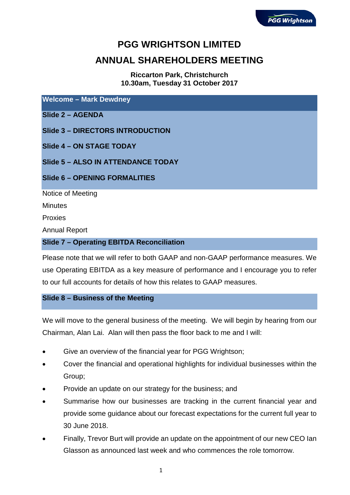# **PGG WRIGHTSON LIMITED**

# **ANNUAL SHAREHOLDERS MEETING**

**Riccarton Park, Christchurch 10.30am, Tuesday 31 October 2017**

**Welcome – Mark Dewdney**

**Slide 2 – AGENDA**

**Slide 3 – DIRECTORS INTRODUCTION**

**Slide 4 – ON STAGE TODAY**

**Slide 5 – ALSO IN ATTENDANCE TODAY**

**Slide 6 – OPENING FORMALITIES**

Notice of Meeting

**Minutes** 

Proxies

Annual Report

#### **Slide 7 – Operating EBITDA Reconciliation**

Please note that we will refer to both GAAP and non-GAAP performance measures. We use Operating EBITDA as a key measure of performance and I encourage you to refer to our full accounts for details of how this relates to GAAP measures.

#### **Slide 8 – Business of the Meeting**

We will move to the general business of the meeting. We will begin by hearing from our Chairman, Alan Lai. Alan will then pass the floor back to me and I will:

- Give an overview of the financial year for PGG Wrightson;
- Cover the financial and operational highlights for individual businesses within the Group;
- Provide an update on our strategy for the business; and
- Summarise how our businesses are tracking in the current financial year and provide some guidance about our forecast expectations for the current full year to 30 June 2018.
- Finally, Trevor Burt will provide an update on the appointment of our new CEO Ian Glasson as announced last week and who commences the role tomorrow.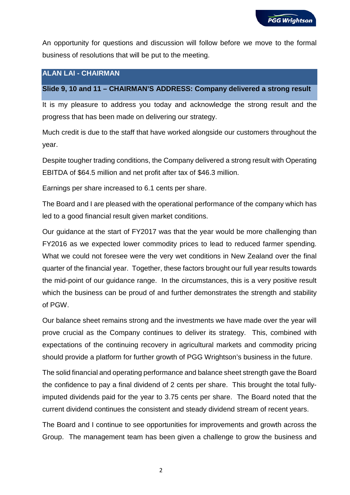An opportunity for questions and discussion will follow before we move to the formal business of resolutions that will be put to the meeting.

# **ALAN LAI - CHAIRMAN**

## **Slide 9, 10 and 11 – CHAIRMAN'S ADDRESS: Company delivered a strong result**

It is my pleasure to address you today and acknowledge the strong result and the progress that has been made on delivering our strategy.

Much credit is due to the staff that have worked alongside our customers throughout the year.

Despite tougher trading conditions, the Company delivered a strong result with Operating EBITDA of \$64.5 million and net profit after tax of \$46.3 million.

Earnings per share increased to 6.1 cents per share.

The Board and I are pleased with the operational performance of the company which has led to a good financial result given market conditions.

Our guidance at the start of FY2017 was that the year would be more challenging than FY2016 as we expected lower commodity prices to lead to reduced farmer spending. What we could not foresee were the very wet conditions in New Zealand over the final quarter of the financial year. Together, these factors brought our full year results towards the mid-point of our guidance range. In the circumstances, this is a very positive result which the business can be proud of and further demonstrates the strength and stability of PGW.

Our balance sheet remains strong and the investments we have made over the year will prove crucial as the Company continues to deliver its strategy. This, combined with expectations of the continuing recovery in agricultural markets and commodity pricing should provide a platform for further growth of PGG Wrightson's business in the future.

The solid financial and operating performance and balance sheet strength gave the Board the confidence to pay a final dividend of 2 cents per share. This brought the total fullyimputed dividends paid for the year to 3.75 cents per share. The Board noted that the current dividend continues the consistent and steady dividend stream of recent years.

The Board and I continue to see opportunities for improvements and growth across the Group. The management team has been given a challenge to grow the business and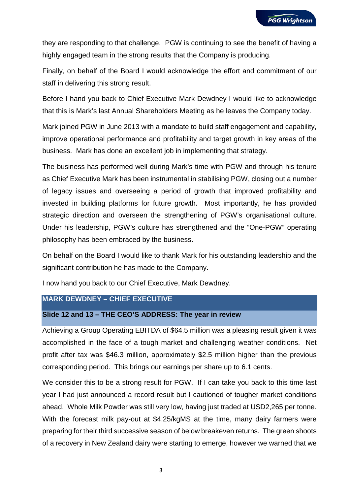they are responding to that challenge. PGW is continuing to see the benefit of having a highly engaged team in the strong results that the Company is producing.

Finally, on behalf of the Board I would acknowledge the effort and commitment of our staff in delivering this strong result.

Before I hand you back to Chief Executive Mark Dewdney I would like to acknowledge that this is Mark's last Annual Shareholders Meeting as he leaves the Company today.

Mark joined PGW in June 2013 with a mandate to build staff engagement and capability, improve operational performance and profitability and target growth in key areas of the business. Mark has done an excellent job in implementing that strategy.

The business has performed well during Mark's time with PGW and through his tenure as Chief Executive Mark has been instrumental in stabilising PGW, closing out a number of legacy issues and overseeing a period of growth that improved profitability and invested in building platforms for future growth. Most importantly, he has provided strategic direction and overseen the strengthening of PGW's organisational culture. Under his leadership, PGW's culture has strengthened and the "One-PGW" operating philosophy has been embraced by the business.

On behalf on the Board I would like to thank Mark for his outstanding leadership and the significant contribution he has made to the Company.

I now hand you back to our Chief Executive, Mark Dewdney.

## **MARK DEWDNEY – CHIEF EXECUTIVE**

## **Slide 12 and 13 – THE CEO'S ADDRESS: The year in review**

Achieving a Group Operating EBITDA of \$64.5 million was a pleasing result given it was accomplished in the face of a tough market and challenging weather conditions. Net profit after tax was \$46.3 million, approximately \$2.5 million higher than the previous corresponding period. This brings our earnings per share up to 6.1 cents.

We consider this to be a strong result for PGW. If I can take you back to this time last year I had just announced a record result but I cautioned of tougher market conditions ahead. Whole Milk Powder was still very low, having just traded at USD2,265 per tonne. With the forecast milk pay-out at \$4.25/kgMS at the time, many dairy farmers were preparing for their third successive season of below breakeven returns. The green shoots of a recovery in New Zealand dairy were starting to emerge, however we warned that we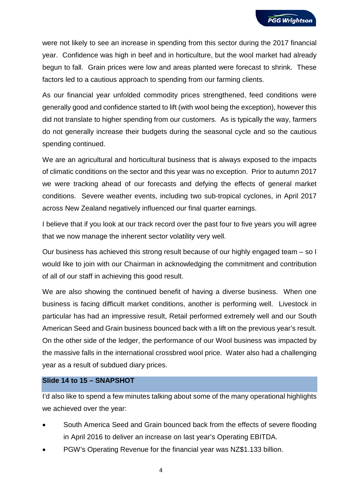were not likely to see an increase in spending from this sector during the 2017 financial year. Confidence was high in beef and in horticulture, but the wool market had already begun to fall. Grain prices were low and areas planted were forecast to shrink. These factors led to a cautious approach to spending from our farming clients.

As our financial year unfolded commodity prices strengthened, feed conditions were generally good and confidence started to lift (with wool being the exception), however this did not translate to higher spending from our customers. As is typically the way, farmers do not generally increase their budgets during the seasonal cycle and so the cautious spending continued.

We are an agricultural and horticultural business that is always exposed to the impacts of climatic conditions on the sector and this year was no exception. Prior to autumn 2017 we were tracking ahead of our forecasts and defying the effects of general market conditions. Severe weather events, including two sub-tropical cyclones, in April 2017 across New Zealand negatively influenced our final quarter earnings.

I believe that if you look at our track record over the past four to five years you will agree that we now manage the inherent sector volatility very well.

Our business has achieved this strong result because of our highly engaged team – so I would like to join with our Chairman in acknowledging the commitment and contribution of all of our staff in achieving this good result.

We are also showing the continued benefit of having a diverse business. When one business is facing difficult market conditions, another is performing well. Livestock in particular has had an impressive result, Retail performed extremely well and our South American Seed and Grain business bounced back with a lift on the previous year's result. On the other side of the ledger, the performance of our Wool business was impacted by the massive falls in the international crossbred wool price. Water also had a challenging year as a result of subdued diary prices.

#### **Slide 14 to 15 – SNAPSHOT**

I'd also like to spend a few minutes talking about some of the many operational highlights we achieved over the year:

- South America Seed and Grain bounced back from the effects of severe flooding in April 2016 to deliver an increase on last year's Operating EBITDA.
- PGW's Operating Revenue for the financial year was NZ\$1.133 billion.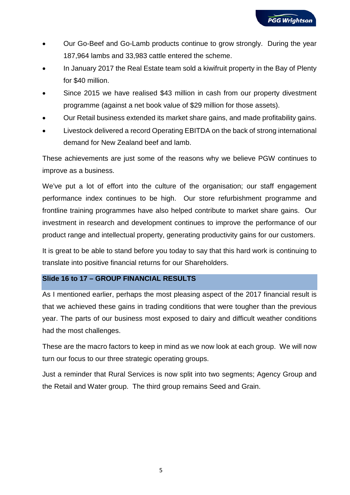- Our Go-Beef and Go-Lamb products continue to grow strongly. During the year 187,964 lambs and 33,983 cattle entered the scheme.
- In January 2017 the Real Estate team sold a kiwifruit property in the Bay of Plenty for \$40 million.
- Since 2015 we have realised \$43 million in cash from our property divestment programme (against a net book value of \$29 million for those assets).
- Our Retail business extended its market share gains, and made profitability gains.
- Livestock delivered a record Operating EBITDA on the back of strong international demand for New Zealand beef and lamb.

These achievements are just some of the reasons why we believe PGW continues to improve as a business.

We've put a lot of effort into the culture of the organisation; our staff engagement performance index continues to be high. Our store refurbishment programme and frontline training programmes have also helped contribute to market share gains. Our investment in research and development continues to improve the performance of our product range and intellectual property, generating productivity gains for our customers.

It is great to be able to stand before you today to say that this hard work is continuing to translate into positive financial returns for our Shareholders.

# **Slide 16 to 17 – GROUP FINANCIAL RESULTS**

As I mentioned earlier, perhaps the most pleasing aspect of the 2017 financial result is that we achieved these gains in trading conditions that were tougher than the previous year. The parts of our business most exposed to dairy and difficult weather conditions had the most challenges.

These are the macro factors to keep in mind as we now look at each group. We will now turn our focus to our three strategic operating groups.

Just a reminder that Rural Services is now split into two segments; Agency Group and the Retail and Water group. The third group remains Seed and Grain.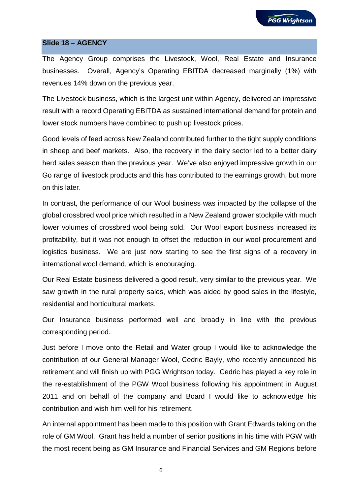

#### **Slide 18 – AGENCY**

The Agency Group comprises the Livestock, Wool, Real Estate and Insurance businesses. Overall, Agency's Operating EBITDA decreased marginally (1%) with revenues 14% down on the previous year.

The Livestock business, which is the largest unit within Agency, delivered an impressive result with a record Operating EBITDA as sustained international demand for protein and lower stock numbers have combined to push up livestock prices.

Good levels of feed across New Zealand contributed further to the tight supply conditions in sheep and beef markets. Also, the recovery in the dairy sector led to a better dairy herd sales season than the previous year. We've also enjoyed impressive growth in our Go range of livestock products and this has contributed to the earnings growth, but more on this later.

In contrast, the performance of our Wool business was impacted by the collapse of the global crossbred wool price which resulted in a New Zealand grower stockpile with much lower volumes of crossbred wool being sold. Our Wool export business increased its profitability, but it was not enough to offset the reduction in our wool procurement and logistics business. We are just now starting to see the first signs of a recovery in international wool demand, which is encouraging.

Our Real Estate business delivered a good result, very similar to the previous year. We saw growth in the rural property sales, which was aided by good sales in the lifestyle, residential and horticultural markets.

Our Insurance business performed well and broadly in line with the previous corresponding period.

Just before I move onto the Retail and Water group I would like to acknowledge the contribution of our General Manager Wool, Cedric Bayly, who recently announced his retirement and will finish up with PGG Wrightson today. Cedric has played a key role in the re-establishment of the PGW Wool business following his appointment in August 2011 and on behalf of the company and Board I would like to acknowledge his contribution and wish him well for his retirement.

An internal appointment has been made to this position with Grant Edwards taking on the role of GM Wool. Grant has held a number of senior positions in his time with PGW with the most recent being as GM Insurance and Financial Services and GM Regions before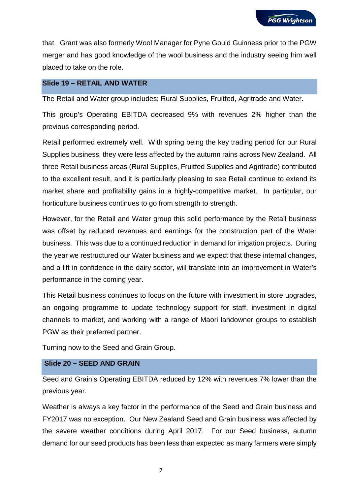that. Grant was also formerly Wool Manager for Pyne Gould Guinness prior to the PGW merger and has good knowledge of the wool business and the industry seeing him well placed to take on the role.

## **Slide 19 – RETAIL AND WATER**

The Retail and Water group includes; Rural Supplies, Fruitfed, Agritrade and Water.

This group's Operating EBITDA decreased 9% with revenues 2% higher than the previous corresponding period.

Retail performed extremely well. With spring being the key trading period for our Rural Supplies business, they were less affected by the autumn rains across New Zealand. All three Retail business areas (Rural Supplies, Fruitfed Supplies and Agritrade) contributed to the excellent result, and it is particularly pleasing to see Retail continue to extend its market share and profitability gains in a highly-competitive market. In particular, our horticulture business continues to go from strength to strength.

However, for the Retail and Water group this solid performance by the Retail business was offset by reduced revenues and earnings for the construction part of the Water business. This was due to a continued reduction in demand for irrigation projects. During the year we restructured our Water business and we expect that these internal changes, and a lift in confidence in the dairy sector, will translate into an improvement in Water's performance in the coming year.

This Retail business continues to focus on the future with investment in store upgrades, an ongoing programme to update technology support for staff, investment in digital channels to market, and working with a range of Maori landowner groups to establish PGW as their preferred partner.

Turning now to the Seed and Grain Group.

## **Slide 20 – SEED AND GRAIN**

Seed and Grain's Operating EBITDA reduced by 12% with revenues 7% lower than the previous year.

Weather is always a key factor in the performance of the Seed and Grain business and FY2017 was no exception. Our New Zealand Seed and Grain business was affected by the severe weather conditions during April 2017. For our Seed business, autumn demand for our seed products has been less than expected as many farmers were simply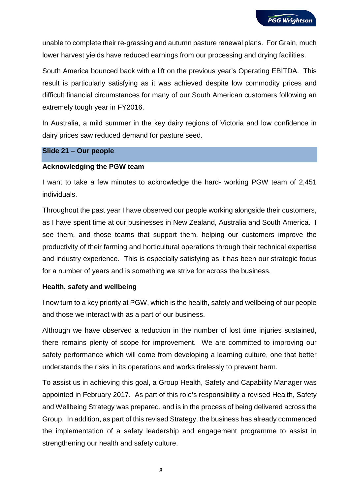unable to complete their re-grassing and autumn pasture renewal plans. For Grain, much lower harvest yields have reduced earnings from our processing and drying facilities.

South America bounced back with a lift on the previous year's Operating EBITDA. This result is particularly satisfying as it was achieved despite low commodity prices and difficult financial circumstances for many of our South American customers following an extremely tough year in FY2016.

In Australia, a mild summer in the key dairy regions of Victoria and low confidence in dairy prices saw reduced demand for pasture seed.

#### **Slide 21 – Our people**

#### **Acknowledging the PGW team**

I want to take a few minutes to acknowledge the hard- working PGW team of 2,451 individuals.

Throughout the past year I have observed our people working alongside their customers, as I have spent time at our businesses in New Zealand, Australia and South America. I see them, and those teams that support them, helping our customers improve the productivity of their farming and horticultural operations through their technical expertise and industry experience. This is especially satisfying as it has been our strategic focus for a number of years and is something we strive for across the business.

#### **Health, safety and wellbeing**

I now turn to a key priority at PGW, which is the health, safety and wellbeing of our people and those we interact with as a part of our business.

Although we have observed a reduction in the number of lost time injuries sustained, there remains plenty of scope for improvement. We are committed to improving our safety performance which will come from developing a learning culture, one that better understands the risks in its operations and works tirelessly to prevent harm.

To assist us in achieving this goal, a Group Health, Safety and Capability Manager was appointed in February 2017. As part of this role's responsibility a revised Health, Safety and Wellbeing Strategy was prepared, and is in the process of being delivered across the Group. In addition, as part of this revised Strategy, the business has already commenced the implementation of a safety leadership and engagement programme to assist in strengthening our health and safety culture.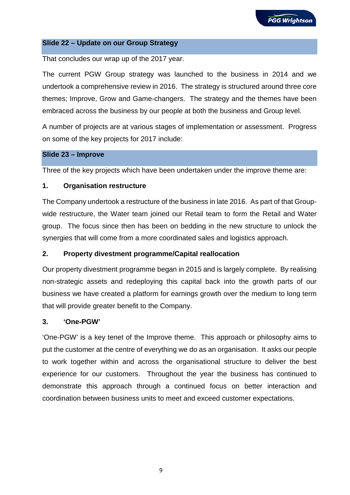#### **Slide 22 – Update on our Group Strategy**

That concludes our wrap up of the 2017 year.

The current PGW Group strategy was launched to the business in 2014 and we undertook a comprehensive review in 2016. The strategy is structured around three core themes; Improve, Grow and Game-changers. The strategy and the themes have been embraced across the business by our people at both the business and Group level.

A number of projects are at various stages of implementation or assessment. Progress on some of the key projects for 2017 include:

#### **Slide 23 – Improve**

Three of the key projects which have been undertaken under the improve theme are:

## **1. Organisation restructure**

The Company undertook a restructure of the business in late 2016. As part of that Groupwide restructure, the Water team joined our Retail team to form the Retail and Water group. The focus since then has been on bedding in the new structure to unlock the synergies that will come from a more coordinated sales and logistics approach.

## **2. Property divestment programme/Capital reallocation**

Our property divestment programme began in 2015 and is largely complete. By realising non-strategic assets and redeploying this capital back into the growth parts of our business we have created a platform for earnings growth over the medium to long term that will provide greater benefit to the Company.

## **3. 'One-PGW'**

'One-PGW' is a key tenet of the Improve theme. This approach or philosophy aims to put the customer at the centre of everything we do as an organisation. It asks our people to work together within and across the organisational structure to deliver the best experience for our customers. Throughout the year the business has continued to demonstrate this approach through a continued focus on better interaction and coordination between business units to meet and exceed customer expectations.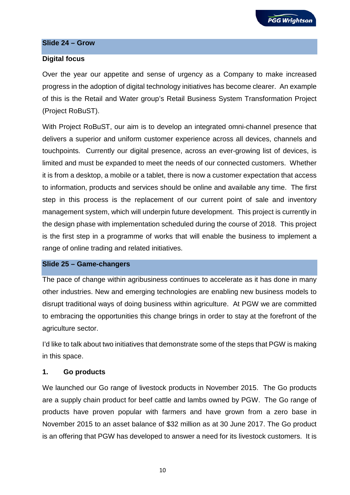#### **Slide 24 – Grow**

#### **Digital focus**

Over the year our appetite and sense of urgency as a Company to make increased progress in the adoption of digital technology initiatives has become clearer. An example of this is the Retail and Water group's Retail Business System Transformation Project (Project RoBuST).

With Project RoBuST, our aim is to develop an integrated omni-channel presence that delivers a superior and uniform customer experience across all devices, channels and touchpoints. Currently our digital presence, across an ever-growing list of devices, is limited and must be expanded to meet the needs of our connected customers. Whether it is from a desktop, a mobile or a tablet, there is now a customer expectation that access to information, products and services should be online and available any time. The first step in this process is the replacement of our current point of sale and inventory management system, which will underpin future development. This project is currently in the design phase with implementation scheduled during the course of 2018. This project is the first step in a programme of works that will enable the business to implement a range of online trading and related initiatives.

#### **Slide 25 – Game-changers**

The pace of change within agribusiness continues to accelerate as it has done in many other industries. New and emerging technologies are enabling new business models to disrupt traditional ways of doing business within agriculture. At PGW we are committed to embracing the opportunities this change brings in order to stay at the forefront of the agriculture sector.

I'd like to talk about two initiatives that demonstrate some of the steps that PGW is making in this space.

#### **1. Go products**

We launched our Go range of livestock products in November 2015. The Go products are a supply chain product for beef cattle and lambs owned by PGW. The Go range of products have proven popular with farmers and have grown from a zero base in November 2015 to an asset balance of \$32 million as at 30 June 2017. The Go product is an offering that PGW has developed to answer a need for its livestock customers. It is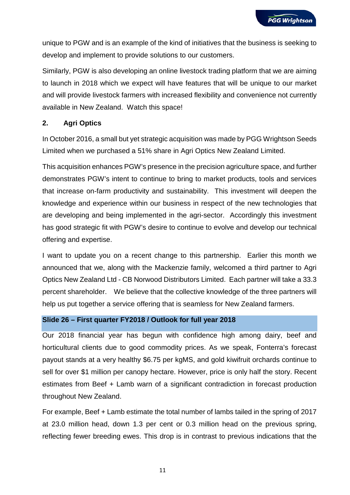unique to PGW and is an example of the kind of initiatives that the business is seeking to develop and implement to provide solutions to our customers.

Similarly, PGW is also developing an online livestock trading platform that we are aiming to launch in 2018 which we expect will have features that will be unique to our market and will provide livestock farmers with increased flexibility and convenience not currently available in New Zealand. Watch this space!

# **2. Agri Optics**

In October 2016, a small but yet strategic acquisition was made by PGG Wrightson Seeds Limited when we purchased a 51% share in Agri Optics New Zealand Limited.

This acquisition enhances PGW's presence in the precision agriculture space, and further demonstrates PGW's intent to continue to bring to market products, tools and services that increase on-farm productivity and sustainability. This investment will deepen the knowledge and experience within our business in respect of the new technologies that are developing and being implemented in the agri-sector. Accordingly this investment has good strategic fit with PGW's desire to continue to evolve and develop our technical offering and expertise.

I want to update you on a recent change to this partnership. Earlier this month we announced that we, along with the Mackenzie family, welcomed a third partner to Agri Optics New Zealand Ltd - CB Norwood Distributors Limited. Each partner will take a 33.3 percent shareholder. We believe that the collective knowledge of the three partners will help us put together a service offering that is seamless for New Zealand farmers.

## **Slide 26 – First quarter FY2018 / Outlook for full year 2018**

Our 2018 financial year has begun with confidence high among dairy, beef and horticultural clients due to good commodity prices. As we speak, Fonterra's forecast payout stands at a very healthy \$6.75 per kgMS, and gold kiwifruit orchards continue to sell for over \$1 million per canopy hectare. However, price is only half the story. Recent estimates from Beef + Lamb warn of a significant contradiction in forecast production throughout New Zealand.

For example, Beef + Lamb estimate the total number of lambs tailed in the spring of 2017 at 23.0 million head, down 1.3 per cent or 0.3 million head on the previous spring, reflecting fewer breeding ewes. This drop is in contrast to previous indications that the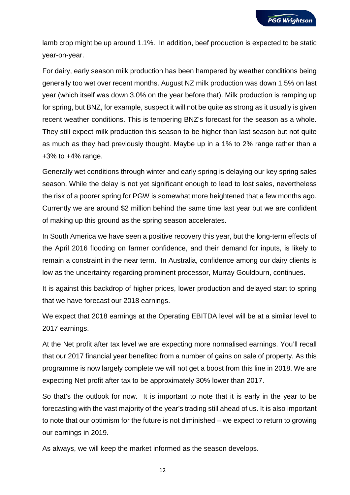lamb crop might be up around 1.1%. In addition, beef production is expected to be static year-on-year.

For dairy, early season milk production has been hampered by weather conditions being generally too wet over recent months. August NZ milk production was down 1.5% on last year (which itself was down 3.0% on the year before that). Milk production is ramping up for spring, but BNZ, for example, suspect it will not be quite as strong as it usually is given recent weather conditions. This is tempering BNZ's forecast for the season as a whole. They still expect milk production this season to be higher than last season but not quite as much as they had previously thought. Maybe up in a 1% to 2% range rather than a +3% to +4% range.

Generally wet conditions through winter and early spring is delaying our key spring sales season. While the delay is not yet significant enough to lead to lost sales, nevertheless the risk of a poorer spring for PGW is somewhat more heightened that a few months ago. Currently we are around \$2 million behind the same time last year but we are confident of making up this ground as the spring season accelerates.

In South America we have seen a positive recovery this year, but the long-term effects of the April 2016 flooding on farmer confidence, and their demand for inputs, is likely to remain a constraint in the near term. In Australia, confidence among our dairy clients is low as the uncertainty regarding prominent processor, Murray Gouldburn, continues.

It is against this backdrop of higher prices, lower production and delayed start to spring that we have forecast our 2018 earnings.

We expect that 2018 earnings at the Operating EBITDA level will be at a similar level to 2017 earnings.

At the Net profit after tax level we are expecting more normalised earnings. You'll recall that our 2017 financial year benefited from a number of gains on sale of property. As this programme is now largely complete we will not get a boost from this line in 2018. We are expecting Net profit after tax to be approximately 30% lower than 2017.

So that's the outlook for now. It is important to note that it is early in the year to be forecasting with the vast majority of the year's trading still ahead of us. It is also important to note that our optimism for the future is not diminished – we expect to return to growing our earnings in 2019.

As always, we will keep the market informed as the season develops.

12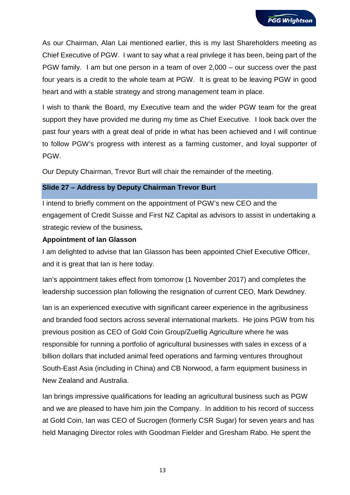As our Chairman, Alan Lai mentioned earlier, this is my last Shareholders meeting as Chief Executive of PGW. I want to say what a real privilege it has been, being part of the PGW family. I am but one person in a team of over 2,000 – our success over the past four years is a credit to the whole team at PGW. It is great to be leaving PGW in good heart and with a stable strategy and strong management team in place.

I wish to thank the Board, my Executive team and the wider PGW team for the great support they have provided me during my time as Chief Executive. I look back over the past four years with a great deal of pride in what has been achieved and I will continue to follow PGW's progress with interest as a farming customer, and loyal supporter of PGW.

Our Deputy Chairman, Trevor Burt will chair the remainder of the meeting.

## **Slide 27 – Address by Deputy Chairman Trevor Burt**

I intend to briefly comment on the appointment of PGW's new CEO and the engagement of Credit Suisse and First NZ Capital as advisors to assist in undertaking a strategic review of the business**.**

#### **Appointment of Ian Glasson**

I am delighted to advise that Ian Glasson has been appointed Chief Executive Officer, and it is great that Ian is here today.

Ian's appointment takes effect from tomorrow (1 November 2017) and completes the leadership succession plan following the resignation of current CEO, Mark Dewdney.

Ian is an experienced executive with significant career experience in the agribusiness and branded food sectors across several international markets. He joins PGW from his previous position as CEO of Gold Coin Group/Zuellig Agriculture where he was responsible for running a portfolio of agricultural businesses with sales in excess of a billion dollars that included animal feed operations and farming ventures throughout South-East Asia (including in China) and CB Norwood, a farm equipment business in New Zealand and Australia.

Ian brings impressive qualifications for leading an agricultural business such as PGW and we are pleased to have him join the Company. In addition to his record of success at Gold Coin, Ian was CEO of Sucrogen (formerly CSR Sugar) for seven years and has held Managing Director roles with Goodman Fielder and Gresham Rabo. He spent the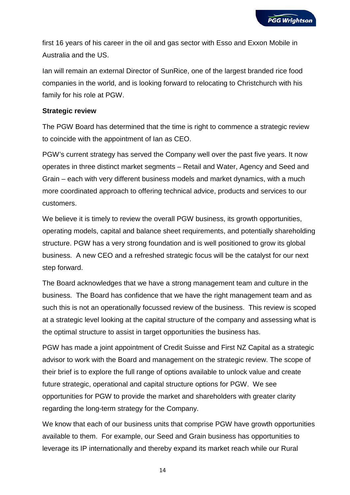first 16 years of his career in the oil and gas sector with Esso and Exxon Mobile in Australia and the US.

Ian will remain an external Director of SunRice, one of the largest branded rice food companies in the world, and is looking forward to relocating to Christchurch with his family for his role at PGW.

## **Strategic review**

The PGW Board has determined that the time is right to commence a strategic review to coincide with the appointment of Ian as CEO.

PGW's current strategy has served the Company well over the past five years. It now operates in three distinct market segments – Retail and Water, Agency and Seed and Grain – each with very different business models and market dynamics, with a much more coordinated approach to offering technical advice, products and services to our customers.

We believe it is timely to review the overall PGW business, its growth opportunities, operating models, capital and balance sheet requirements, and potentially shareholding structure. PGW has a very strong foundation and is well positioned to grow its global business. A new CEO and a refreshed strategic focus will be the catalyst for our next step forward.

The Board acknowledges that we have a strong management team and culture in the business. The Board has confidence that we have the right management team and as such this is not an operationally focussed review of the business. This review is scoped at a strategic level looking at the capital structure of the company and assessing what is the optimal structure to assist in target opportunities the business has.

PGW has made a joint appointment of Credit Suisse and First NZ Capital as a strategic advisor to work with the Board and management on the strategic review. The scope of their brief is to explore the full range of options available to unlock value and create future strategic, operational and capital structure options for PGW. We see opportunities for PGW to provide the market and shareholders with greater clarity regarding the long-term strategy for the Company.

We know that each of our business units that comprise PGW have growth opportunities available to them. For example, our Seed and Grain business has opportunities to leverage its IP internationally and thereby expand its market reach while our Rural